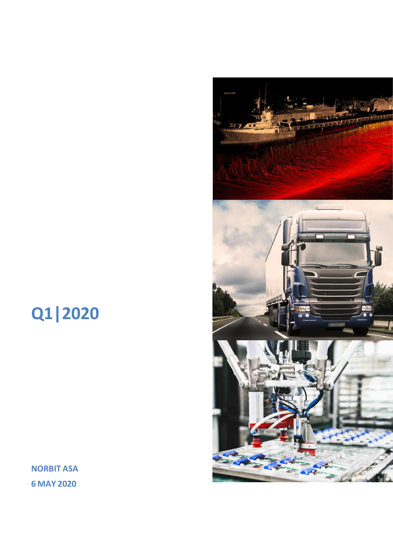# **Q1|2020**

**NORBIT ASA 6 MAY 2020**

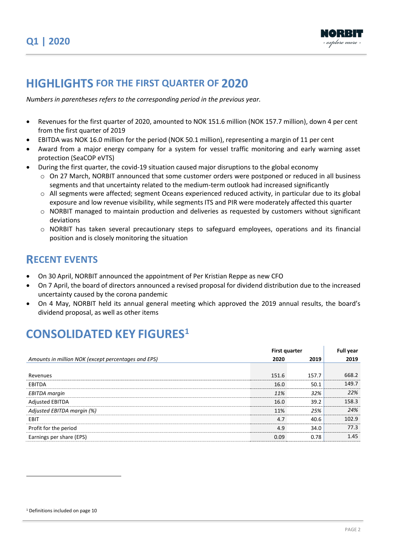

# **HIGHLIGHTS FOR THE FIRST QUARTER OF 2020**

*Numbers in parentheses refers to the corresponding period in the previous year.*

- Revenues for the first quarter of 2020, amounted to NOK 151.6 million (NOK 157.7 million), down 4 per cent from the first quarter of 2019
- EBITDA was NOK 16.0 million for the period (NOK 50.1 million), representing a margin of 11 per cent
- Award from a major energy company for a system for vessel traffic monitoring and early warning asset protection (SeaCOP eVTS)
- During the first quarter, the covid-19 situation caused major disruptions to the global economy
	- o On 27 March, NORBIT announced that some customer orders were postponed or reduced in all business segments and that uncertainty related to the medium-term outlook had increased significantly
	- o All segments were affected; segment Oceans experienced reduced activity, in particular due to its global exposure and low revenue visibility, while segments ITS and PIR were moderately affected this quarter
	- o NORBIT managed to maintain production and deliveries as requested by customers without significant deviations
	- o NORBIT has taken several precautionary steps to safeguard employees, operations and its financial position and is closely monitoring the situation

# **RECENT EVENTS**

- On 30 April, NORBIT announced the appointment of Per Kristian Reppe as new CFO
- On 7 April, the board of directors announced a revised proposal for dividend distribution due to the increased uncertainty caused by the corona pandemic
- On 4 May, NORBIT held its annual general meeting which approved the 2019 annual results, the board's dividend proposal, as well as other items

# **CONSOLIDATED KEY FIGURES1**

|                                                     | <b>First quarter</b> |       | <b>Full year</b> |
|-----------------------------------------------------|----------------------|-------|------------------|
| Amounts in million NOK (except percentages and EPS) | 2020                 | 2019  | 2019             |
|                                                     |                      |       |                  |
| Revenues                                            | 151.6                | 157.7 | 668.2            |
| EBITDA                                              | 16.0                 | 50.1  | 149.7            |
| <b>EBITDA</b> margin                                | 11%                  | 32%   | 22%              |
| <b>Adjusted EBITDA</b>                              | 16.0                 | 39.2  | 158.3            |
| Adjusted EBITDA margin (%)                          | 11%                  | 25%   | 24%              |
| EBIT                                                | 4.7                  | 40.6  | 102.9            |
| Profit for the period                               | 4.9                  | 34.0  | 77.3             |
| Earnings per share (EPS)                            | 0.09                 | 0.78  | 1.45             |

<sup>&</sup>lt;sup>1</sup> Definitions included on page 10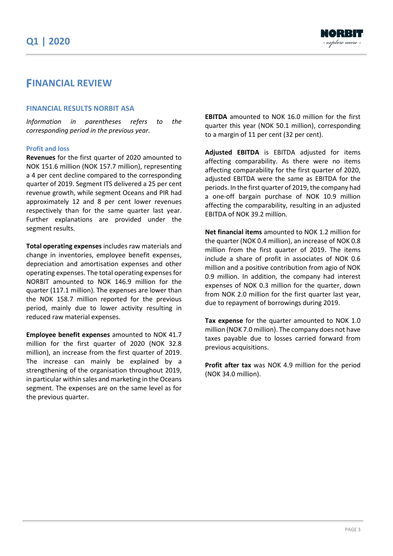

# **FINANCIAL REVIEW**

### **FINANCIAL RESULTS NORBIT ASA**

*Information in parentheses refers to the corresponding period in the previous year.*

### **Profit and loss**

**Revenues** for the first quarter of 2020 amounted to NOK 151.6 million (NOK 157.7 million), representing a 4 per cent decline compared to the corresponding quarter of 2019. Segment ITS delivered a 25 per cent revenue growth, while segment Oceans and PIR had approximately 12 and 8 per cent lower revenues respectively than for the same quarter last year. Further explanations are provided under the segment results.

**Total operating expenses** includes raw materials and change in inventories, employee benefit expenses, depreciation and amortisation expenses and other operating expenses. The total operating expenses for NORBIT amounted to NOK 146.9 million for the quarter (117.1 million). The expenses are lower than the NOK 158.7 million reported for the previous period, mainly due to lower activity resulting in reduced raw material expenses.

**Employee benefit expenses** amounted to NOK 41.7 million for the first quarter of 2020 (NOK 32.8 million), an increase from the first quarter of 2019. The increase can mainly be explained by a strengthening of the organisation throughout 2019, in particular within sales and marketing in the Oceans segment. The expenses are on the same level as for the previous quarter.

**EBITDA** amounted to NOK 16.0 million for the first quarter this year (NOK 50.1 million), corresponding to a margin of 11 per cent (32 per cent).

**Adjusted EBITDA** is EBITDA adjusted for items affecting comparability. As there were no items affecting comparability for the first quarter of 2020, adjusted EBITDA were the same as EBITDA for the periods. In the first quarter of 2019, the company had a one-off bargain purchase of NOK 10.9 million affecting the comparability, resulting in an adjusted EBITDA of NOK 39.2 million.

**Net financial items** amounted to NOK 1.2 million for the quarter (NOK 0.4 million), an increase of NOK 0.8 million from the first quarter of 2019. The items include a share of profit in associates of NOK 0.6 million and a positive contribution from agio of NOK 0.9 million. In addition, the company had interest expenses of NOK 0.3 million for the quarter, down from NOK 2.0 million for the first quarter last year, due to repayment of borrowings during 2019.

**Tax expense** for the quarter amounted to NOK 1.0 million (NOK 7.0 million). The company does not have taxes payable due to losses carried forward from previous acquisitions.

**Profit after tax** was NOK 4.9 million for the period (NOK 34.0 million).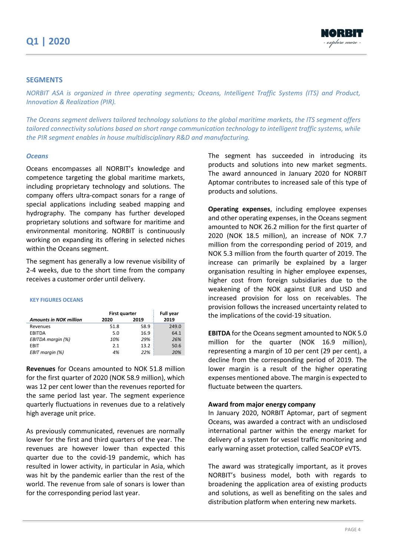

### **SEGMENTS**

*NORBIT ASA is organized in three operating segments; Oceans, Intelligent Traffic Systems (ITS) and Product, Innovation & Realization (PIR).*

*The Oceans segment delivers tailored technology solutions to the global maritime markets, the ITS segment offers tailored connectivity solutions based on short range communication technology to intelligent traffic systems, while the PIR segment enables in house multidisciplinary R&D and manufacturing.*

### *Oceans*

Oceans encompasses all NORBIT's knowledge and competence targeting the global maritime markets, including proprietary technology and solutions. The company offers ultra-compact sonars for a range of special applications including seabed mapping and hydrography. The company has further developed proprietary solutions and software for maritime and environmental monitoring. NORBIT is continuously working on expanding its offering in selected niches within the Oceans segment.

The segment has generally a low revenue visibility of 2-4 weeks, due to the short time from the company receives a customer order until delivery.

### **KEY FIGURES OCEANS**

|                               | <b>First quarter</b> | <b>Full year</b> |       |  |
|-------------------------------|----------------------|------------------|-------|--|
| <b>Amounts in NOK million</b> | 2020                 | 2019             |       |  |
| Revenues                      | 51.8                 | 58.9             | 249.0 |  |
| EBITDA                        | 5.0                  | 16.9             | 64.1  |  |
| EBITDA margin (%)             | 10%                  | 29%              | 26%   |  |
| <b>FRIT</b>                   | 2.1                  | 13.2             | 50.6  |  |
| EBIT margin (%)               | 4%                   | 22%              | 20%   |  |

**Revenues** for Oceans amounted to NOK 51.8 million for the first quarter of 2020 (NOK 58.9 million), which was 12 per cent lower than the revenues reported for the same period last year. The segment experience quarterly fluctuations in revenues due to a relatively high average unit price.

As previously communicated, revenues are normally lower for the first and third quarters of the year. The revenues are however lower than expected this quarter due to the covid-19 pandemic, which has resulted in lower activity, in particular in Asia, which was hit by the pandemic earlier than the rest of the world. The revenue from sale of sonars is lower than for the corresponding period last year.

The segment has succeeded in introducing its products and solutions into new market segments. The award announced in January 2020 for NORBIT Aptomar contributes to increased sale of this type of products and solutions.

**Operating expenses**, including employee expenses and other operating expenses, in the Oceans segment amounted to NOK 26.2 million for the first quarter of 2020 (NOK 18.5 million), an increase of NOK 7.7 million from the corresponding period of 2019, and NOK 5.3 million from the fourth quarter of 2019. The increase can primarily be explained by a larger organisation resulting in higher employee expenses, higher cost from foreign subsidiaries due to the weakening of the NOK against EUR and USD and increased provision for loss on receivables. The provision follows the increased uncertainty related to the implications of the covid-19 situation.

**EBITDA** for the Oceans segment amounted to NOK 5.0 million for the quarter (NOK 16.9 million), representing a margin of 10 per cent (29 per cent), a decline from the corresponding period of 2019. The lower margin is a result of the higher operating expenses mentioned above. The margin is expected to fluctuate between the quarters.

### **Award from major energy company**

In January 2020, NORBIT Aptomar, part of segment Oceans, was awarded a contract with an undisclosed international partner within the energy market for delivery of a system for vessel traffic monitoring and early warning asset protection, called SeaCOP eVTS.

The award was strategically important, as it proves NORBIT's business model, both with regards to broadening the application area of existing products and solutions, as well as benefiting on the sales and distribution platform when entering new markets.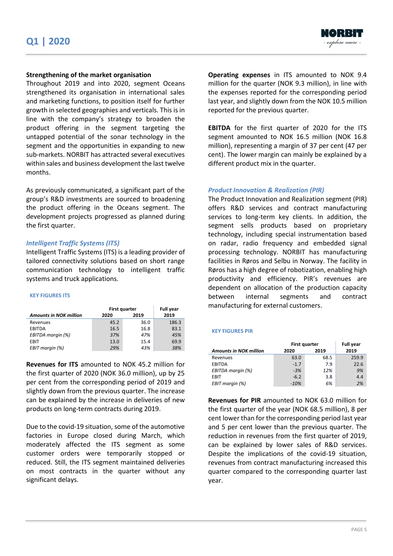

### **Strengthening of the market organisation**

Throughout 2019 and into 2020, segment Oceans strengthened its organisation in international sales and marketing functions, to position itself for further growth in selected geographies and verticals. This is in line with the company's strategy to broaden the product offering in the segment targeting the untapped potential of the sonar technology in the segment and the opportunities in expanding to new sub-markets. NORBIT has attracted several executives within sales and business development the last twelve months.

As previously communicated, a significant part of the group's R&D investments are sourced to broadening the product offering in the Oceans segment. The development projects progressed as planned during the first quarter.

### *Intelligent Traffic Systems (ITS)*

Intelligent Traffic Systems (ITS) is a leading provider of tailored connectivity solutions based on short range communication technology to intelligent traffic systems and truck applications.

### **KEY FIGURES ITS**

|                               | <b>First quarter</b> | <b>Full year</b> |       |  |  |
|-------------------------------|----------------------|------------------|-------|--|--|
| <b>Amounts in NOK million</b> | 2020                 | 2019             |       |  |  |
| Revenues                      | 45.2                 | 36.0             | 186.3 |  |  |
| EBITDA                        | 16.5                 | 16.8             | 83.1  |  |  |
| EBITDA margin (%)             | 37%                  | 47%              | 45%   |  |  |
| <b>FRIT</b>                   | 13.0                 | 15.4             | 69.9  |  |  |
| EBIT margin (%)               | 29%                  | 43%              | 38%   |  |  |

**Revenues for ITS** amounted to NOK 45.2 million for the first quarter of 2020 (NOK 36.0 million), up by 25 per cent from the corresponding period of 2019 and slightly down from the previous quarter. The increase can be explained by the increase in deliveries of new products on long-term contracts during 2019.

Due to the covid-19 situation, some of the automotive factories in Europe closed during March, which moderately affected the ITS segment as some customer orders were temporarily stopped or reduced. Still, the ITS segment maintained deliveries on most contracts in the quarter without any significant delays.

**Operating expenses** in ITS amounted to NOK 9.4 million for the quarter (NOK 9.3 million), in line with the expenses reported for the corresponding period last year, and slightly down from the NOK 10.5 million reported for the previous quarter.

**EBITDA** for the first quarter of 2020 for the ITS segment amounted to NOK 16.5 million (NOK 16.8 million), representing a margin of 37 per cent (47 per cent). The lower margin can mainly be explained by a different product mix in the quarter.

### *Product Innovation & Realization (PIR)*

The Product Innovation and Realization segment (PIR) offers R&D services and contract manufacturing services to long-term key clients. In addition, the segment sells products based on proprietary technology, including special instrumentation based on radar, radio frequency and embedded signal processing technology. NORBIT has manufacturing facilities in Røros and Selbu in Norway. The facility in Røros has a high degree of robotization, enabling high productivity and efficiency. PIR's revenues are dependent on allocation of the production capacity between internal segments and contract manufacturing for external customers.

#### **KEY FIGURES PIR**

|                               | <b>First quarter</b> | <b>Full year</b> |       |  |  |
|-------------------------------|----------------------|------------------|-------|--|--|
| <b>Amounts in NOK million</b> | 2020                 | 2019             |       |  |  |
| Revenues                      | 63.0                 | 68.5             | 259.9 |  |  |
| <b>EBITDA</b>                 | $-1.7$               | 7.9              | 22.6  |  |  |
| EBITDA margin (%)             | $-3%$                | 12%              | 9%    |  |  |
| EBIT                          | $-6.2$               | 3.8              | 4.4   |  |  |
| EBIT margin (%)               | $-10%$               | 6%               | 2%    |  |  |

**Revenues for PIR** amounted to NOK 63.0 million for the first quarter of the year (NOK 68.5 million), 8 per cent lower than for the corresponding period last year and 5 per cent lower than the previous quarter. The reduction in revenues from the first quarter of 2019, can be explained by lower sales of R&D services. Despite the implications of the covid-19 situation, revenues from contract manufacturing increased this quarter compared to the corresponding quarter last year.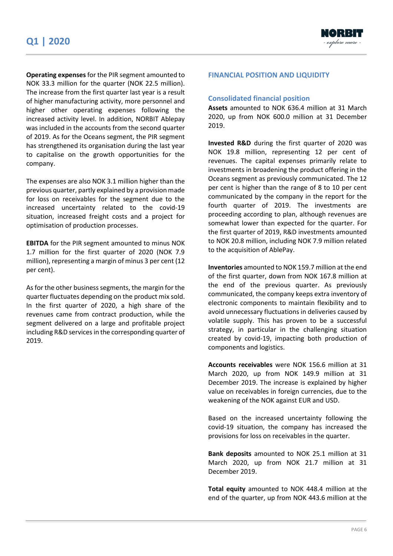

**Operating expenses** for the PIR segment amounted to NOK 33.3 million for the quarter (NOK 22.5 million). The increase from the first quarter last year is a result of higher manufacturing activity, more personnel and higher other operating expenses following the increased activity level. In addition, NORBIT Ablepay was included in the accounts from the second quarter of 2019. As for the Oceans segment, the PIR segment has strengthened its organisation during the last year to capitalise on the growth opportunities for the company.

The expenses are also NOK 3.1 million higher than the previous quarter, partly explained by a provision made for loss on receivables for the segment due to the increased uncertainty related to the covid-19 situation, increased freight costs and a project for optimisation of production processes.

**EBITDA** for the PIR segment amounted to minus NOK 1.7 million for the first quarter of 2020 (NOK 7.9 million), representing a margin of minus 3 per cent (12 per cent).

As for the other business segments, the margin for the quarter fluctuates depending on the product mix sold. In the first quarter of 2020, a high share of the revenues came from contract production, while the segment delivered on a large and profitable project including R&D services in the corresponding quarter of 2019.

### **FINANCIAL POSITION AND LIQUIDITY**

### **Consolidated financial position**

**Assets** amounted to NOK 636.4 million at 31 March 2020, up from NOK 600.0 million at 31 December 2019.

**Invested R&D** during the first quarter of 2020 was NOK 19.8 million, representing 12 per cent of revenues. The capital expenses primarily relate to investments in broadening the product offering in the Oceans segment as previously communicated. The 12 per cent is higher than the range of 8 to 10 per cent communicated by the company in the report for the fourth quarter of 2019. The investments are proceeding according to plan, although revenues are somewhat lower than expected for the quarter. For the first quarter of 2019, R&D investments amounted to NOK 20.8 million, including NOK 7.9 million related to the acquisition of AblePay.

**Inventories** amounted to NOK 159.7 million at the end of the first quarter, down from NOK 167.8 million at the end of the previous quarter. As previously communicated, the company keeps extra inventory of electronic components to maintain flexibility and to avoid unnecessary fluctuations in deliveries caused by volatile supply. This has proven to be a successful strategy, in particular in the challenging situation created by covid-19, impacting both production of components and logistics.

**Accounts receivables** were NOK 156.6 million at 31 March 2020, up from NOK 149.9 million at 31 December 2019. The increase is explained by higher value on receivables in foreign currencies, due to the weakening of the NOK against EUR and USD.

Based on the increased uncertainty following the covid-19 situation, the company has increased the provisions for loss on receivables in the quarter.

**Bank deposits** amounted to NOK 25.1 million at 31 March 2020, up from NOK 21.7 million at 31 December 2019.

**Total equity** amounted to NOK 448.4 million at the end of the quarter, up from NOK 443.6 million at the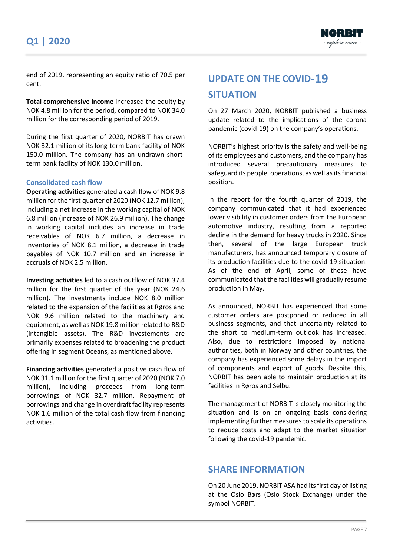

end of 2019, representing an equity ratio of 70.5 per cent.

**Total comprehensive income** increased the equity by NOK 4.8 million for the period, compared to NOK 34.0 million for the corresponding period of 2019.

During the first quarter of 2020, NORBIT has drawn NOK 32.1 million of its long-term bank facility of NOK 150.0 million. The company has an undrawn shortterm bank facility of NOK 130.0 million.

### **Consolidated cash flow**

**Operating activities** generated a cash flow of NOK 9.8 million for the first quarter of 2020 (NOK 12.7 million), including a net increase in the working capital of NOK 6.8 million (increase of NOK 26.9 million). The change in working capital includes an increase in trade receivables of NOK 6.7 million, a decrease in inventories of NOK 8.1 million, a decrease in trade payables of NOK 10.7 million and an increase in accruals of NOK 2.5 million.

**Investing activities** led to a cash outflow of NOK 37.4 million for the first quarter of the year (NOK 24.6 million). The investments include NOK 8.0 million related to the expansion of the facilities at Røros and NOK 9.6 million related to the machinery and equipment, as well as NOK 19.8 million related to R&D (intangible assets). The R&D investements are primarily expenses related to broadening the product offering in segment Oceans, as mentioned above.

**Financing activities** generated a positive cash flow of NOK 31.1 million for the first quarter of 2020 (NOK 7.0 million), including proceeds from long-term borrowings of NOK 32.7 million. Repayment of borrowings and change in overdraft facility represents NOK 1.6 million of the total cash flow from financing activities.

# **UPDATE ON THE COVID-19 SITUATION**

On 27 March 2020, NORBIT published a business update related to the implications of the corona pandemic (covid-19) on the company's operations.

NORBIT's highest priority is the safety and well-being of its employees and customers, and the company has introduced several precautionary measures to safeguard its people, operations, as well as its financial position.

In the report for the fourth quarter of 2019, the company communicated that it had experienced lower visibility in customer orders from the European automotive industry, resulting from a reported decline in the demand for heavy trucks in 2020. Since then, several of the large European truck manufacturers, has announced temporary closure of its production facilities due to the covid-19 situation. As of the end of April, some of these have communicated that the facilities will gradually resume production in May.

As announced, NORBIT has experienced that some customer orders are postponed or reduced in all business segments, and that uncertainty related to the short to medium-term outlook has increased. Also, due to restrictions imposed by national authorities, both in Norway and other countries, the company has experienced some delays in the import of components and export of goods. Despite this, NORBIT has been able to maintain production at its facilities in Røros and Selbu.

The management of NORBIT is closely monitoring the situation and is on an ongoing basis considering implementing further measures to scale its operations to reduce costs and adapt to the market situation following the covid-19 pandemic.

# **SHARE INFORMATION**

On 20 June 2019, NORBIT ASA had its first day of listing at the Oslo Børs (Oslo Stock Exchange) under the symbol NORBIT.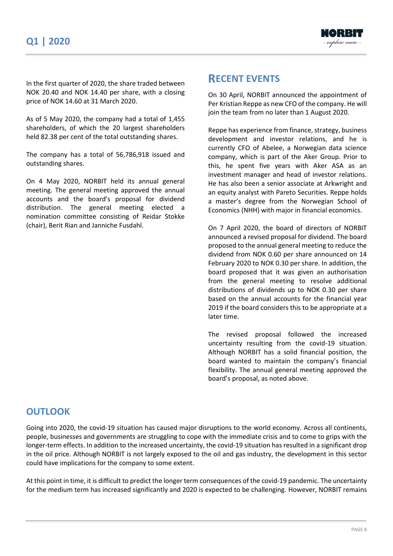

In the first quarter of 2020, the share traded between NOK 20.40 and NOK 14.40 per share, with a closing price of NOK 14.60 at 31 March 2020.

As of 5 May 2020, the company had a total of 1,455 shareholders, of which the 20 largest shareholders held 82.38 per cent of the total outstanding shares.

The company has a total of 56,786,918 issued and outstanding shares.

On 4 May 2020, NORBIT held its annual general meeting. The general meeting approved the annual accounts and the board's proposal for dividend distribution. The general meeting elected a nomination committee consisting of Reidar Stokke (chair), Berit Rian and Janniche Fusdahl.

# **RECENT EVENTS**

On 30 April, NORBIT announced the appointment of Per Kristian Reppe as new CFO of the company. He will join the team from no later than 1 August 2020.

Reppe has experience from finance, strategy, business development and investor relations, and he is currently CFO of Abelee, a Norwegian data science company, which is part of the Aker Group. Prior to this, he spent five years with Aker ASA as an investment manager and head of investor relations. He has also been a senior associate at Arkwright and an equity analyst with Pareto Securities. Reppe holds a master's degree from the Norwegian School of Economics (NHH) with major in financial economics.

On 7 April 2020, the board of directors of NORBIT announced a revised proposal for dividend. The board proposed to the annual general meeting to reduce the dividend from NOK 0.60 per share announced on 14 February 2020 to NOK 0.30 per share. In addition, the board proposed that it was given an authorisation from the general meeting to resolve additional distributions of dividends up to NOK 0.30 per share based on the annual accounts for the financial year 2019 if the board considers this to be appropriate at a later time.

The revised proposal followed the increased uncertainty resulting from the covid-19 situation. Although NORBIT has a solid financial position, the board wanted to maintain the company's financial flexibility. The annual general meeting approved the board's proposal, as noted above.

# **OUTLOOK**

Going into 2020, the covid-19 situation has caused major disruptions to the world economy. Across all continents, people, businesses and governments are struggling to cope with the immediate crisis and to come to grips with the longer-term effects. In addition to the increased uncertainty, the covid-19 situation has resulted in a significant drop in the oil price. Although NORBIT is not largely exposed to the oil and gas industry, the development in this sector could have implications for the company to some extent.

At this point in time, it is difficult to predict the longer term consequences of the covid-19 pandemic. The uncertainty for the medium term has increased significantly and 2020 is expected to be challenging. However, NORBIT remains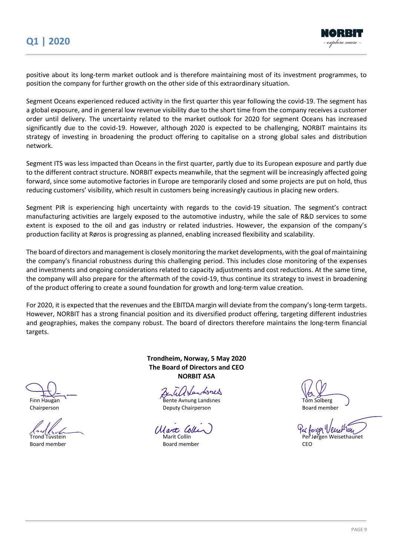

positive about its long-term market outlook and is therefore maintaining most of its investment programmes, to position the company for further growth on the other side of this extraordinary situation.

Segment Oceans experienced reduced activity in the first quarter this year following the covid-19. The segment has a global exposure, and in general low revenue visibility due to the short time from the company receives a customer order until delivery. The uncertainty related to the market outlook for 2020 for segment Oceans has increased significantly due to the covid-19. However, although 2020 is expected to be challenging, NORBIT maintains its strategy of investing in broadening the product offering to capitalise on a strong global sales and distribution network.

Segment ITS was less impacted than Oceans in the first quarter, partly due to its European exposure and partly due to the different contract structure. NORBIT expects meanwhile, that the segment will be increasingly affected going forward, since some automotive factories in Europe are temporarily closed and some projects are put on hold, thus reducing customers' visibility, which result in customers being increasingly cautious in placing new orders.

Segment PIR is experiencing high uncertainty with regards to the covid-19 situation. The segment's contract manufacturing activities are largely exposed to the automotive industry, while the sale of R&D services to some extent is exposed to the oil and gas industry or related industries. However, the expansion of the company's production facility at Røros is progressing as planned, enabling increased flexibility and scalability.

The board of directors and management is closely monitoring the market developments, with the goal of maintaining the company's financial robustness during this challenging period. This includes close monitoring of the expenses and investments and ongoing considerations related to capacity adjustments and cost reductions. At the same time, the company will also prepare for the aftermath of the covid-19, thus continue its strategy to invest in broadening of the product offering to create a sound foundation for growth and long-term value creation.

For 2020, it is expected that the revenues and the EBITDA margin will deviate from the company's long-term targets. However, NORBIT has a strong financial position and its diversified product offering, targeting different industries and geographies, makes the company robust. The board of directors therefore maintains the long-term financial targets.

Finn Haugan

Chairperson

Trond Tuvstein

Board member

**Trondheim, Norway, 5 May 2020 The Board of Directors and CEO NORBIT ASA**

 $\forall$ nc $\forall$ 

Bente Avnung Landsnes Deputy Chairperson

lart Coll Marit Collin

Board member

Tom Solberg Board member

Per Weisethaunet CEO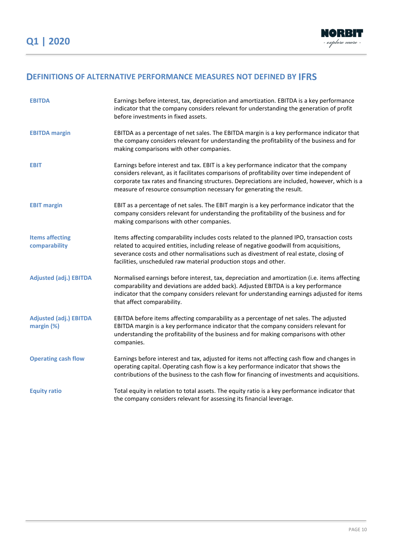

# **DEFINITIONS OF ALTERNATIVE PERFORMANCE MEASURES NOT DEFINED BY IFRS**

| <b>EBITDA</b>                               | Earnings before interest, tax, depreciation and amortization. EBITDA is a key performance<br>indicator that the company considers relevant for understanding the generation of profit<br>before investments in fixed assets.                                                                                                                                   |
|---------------------------------------------|----------------------------------------------------------------------------------------------------------------------------------------------------------------------------------------------------------------------------------------------------------------------------------------------------------------------------------------------------------------|
| <b>EBITDA margin</b>                        | EBITDA as a percentage of net sales. The EBITDA margin is a key performance indicator that<br>the company considers relevant for understanding the profitability of the business and for<br>making comparisons with other companies.                                                                                                                           |
| <b>EBIT</b>                                 | Earnings before interest and tax. EBIT is a key performance indicator that the company<br>considers relevant, as it facilitates comparisons of profitability over time independent of<br>corporate tax rates and financing structures. Depreciations are included, however, which is a<br>measure of resource consumption necessary for generating the result. |
| <b>EBIT margin</b>                          | EBIT as a percentage of net sales. The EBIT margin is a key performance indicator that the<br>company considers relevant for understanding the profitability of the business and for<br>making comparisons with other companies.                                                                                                                               |
| <b>Items affecting</b><br>comparability     | Items affecting comparability includes costs related to the planned IPO, transaction costs<br>related to acquired entities, including release of negative goodwill from acquisitions,<br>severance costs and other normalisations such as divestment of real estate, closing of<br>facilities, unscheduled raw material production stops and other.            |
| <b>Adjusted (adj.) EBITDA</b>               | Normalised earnings before interest, tax, depreciation and amortization (i.e. items affecting<br>comparability and deviations are added back). Adjusted EBITDA is a key performance<br>indicator that the company considers relevant for understanding earnings adjusted for items<br>that affect comparability.                                               |
| <b>Adjusted (adj.) EBITDA</b><br>margin (%) | EBITDA before items affecting comparability as a percentage of net sales. The adjusted<br>EBITDA margin is a key performance indicator that the company considers relevant for<br>understanding the profitability of the business and for making comparisons with other<br>companies.                                                                          |
| <b>Operating cash flow</b>                  | Earnings before interest and tax, adjusted for items not affecting cash flow and changes in<br>operating capital. Operating cash flow is a key performance indicator that shows the<br>contributions of the business to the cash flow for financing of investments and acquisitions.                                                                           |
| <b>Equity ratio</b>                         | Total equity in relation to total assets. The equity ratio is a key performance indicator that<br>the company considers relevant for assessing its financial leverage.                                                                                                                                                                                         |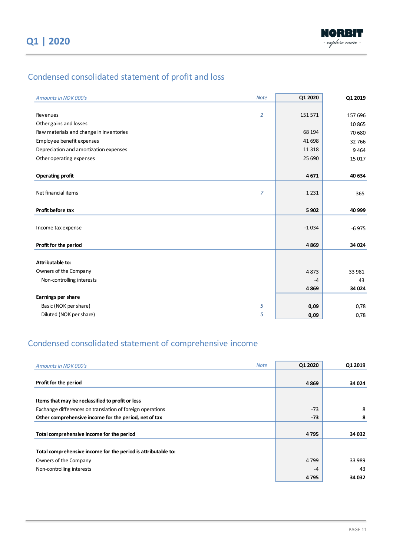# Condensed consolidated statement of profit and loss

| <b>Amounts in NOK 000's</b>             | <b>Note</b>    | Q1 2020 | Q1 2019 |
|-----------------------------------------|----------------|---------|---------|
|                                         |                |         |         |
| Revenues                                | $\overline{2}$ | 151 571 | 157 696 |
| Other gains and losses                  |                |         | 10865   |
| Raw materials and change in inventories |                | 68 194  | 70 680  |
| Employee benefit expenses               |                | 41 698  | 32766   |
| Depreciation and amortization expenses  |                | 11 3 18 | 9464    |
| Other operating expenses                |                | 25 690  | 15 017  |
|                                         |                |         |         |
| <b>Operating profit</b>                 |                | 4671    | 40 634  |
|                                         |                |         |         |
| Net financial items                     | $\overline{7}$ | 1 2 3 1 | 365     |
|                                         |                |         |         |
| Profit before tax                       |                | 5902    | 40 999  |
|                                         |                |         |         |
| Income tax expense                      |                | $-1034$ | $-6975$ |
|                                         |                |         |         |
| Profit for the period                   |                | 4869    | 34 0 24 |
|                                         |                |         |         |
| Attributable to:                        |                |         |         |
| Owners of the Company                   |                | 4873    | 33 981  |
| Non-controlling interests               |                | $-4$    | 43      |
|                                         |                | 4869    | 34 024  |
| Earnings per share                      |                |         |         |
| Basic (NOK per share)                   | 5              | 0,09    | 0,78    |
| Diluted (NOK per share)                 | 5              | 0,09    | 0,78    |

# Condensed consolidated statement of comprehensive income

| Amounts in NOK 000's                                          | <b>Note</b> | Q1 2020 | Q1 2019 |
|---------------------------------------------------------------|-------------|---------|---------|
|                                                               |             |         |         |
| Profit for the period                                         |             | 4869    | 34 0 24 |
|                                                               |             |         |         |
| Items that may be reclassified to profit or loss              |             |         |         |
| Exchange differences on translation of foreign operations     |             | $-73$   | 8       |
| Other comprehensive income for the period, net of tax         |             | $-73$   | 8       |
|                                                               |             |         |         |
| Total comprehensive income for the period                     |             | 4795    | 34 032  |
|                                                               |             |         |         |
| Total comprehensive income for the period is attributable to: |             |         |         |
| Owners of the Company                                         |             | 4799    | 33 989  |
| Non-controlling interests                                     |             | $-4$    | 43      |
|                                                               |             | 4795    | 34 032  |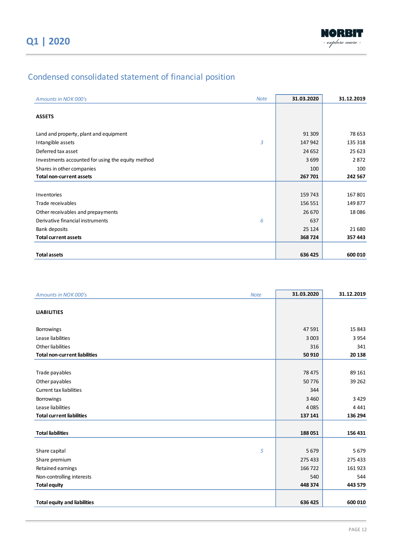# Condensed consolidated statement of financial position

| <b>Note</b><br>Amounts in NOK 000's               | 31.03.2020 | 31.12.2019 |
|---------------------------------------------------|------------|------------|
|                                                   |            |            |
| <b>ASSETS</b>                                     |            |            |
| Land and property, plant and equipment            | 91 309     | 78 653     |
| 3<br>Intangible assets                            | 147942     | 135 318    |
| Deferred tax asset                                | 24 652     | 25 6 23    |
| Investments accounted for using the equity method | 3699       | 2872       |
| Shares in other companies                         | 100        | 100        |
| <b>Total non-current assets</b>                   | 267 701    | 242 567    |
|                                                   |            |            |
| Inventories                                       | 159 743    | 167801     |
| Trade receivables                                 | 156 551    | 149 877    |
| Other receivables and prepayments                 | 26 670     | 18086      |
| Derivative financial instruments<br>6             | 637        |            |
| Bank deposits                                     | 25 1 24    | 21 680     |
| <b>Total current assets</b>                       | 368724     | 357 443    |
|                                                   |            |            |
| <b>Total assets</b>                               | 636 425    | 600 010    |

| <b>Amounts in NOK 000's</b>          | <b>Note</b> | 31.03.2020 | 31.12.2019 |
|--------------------------------------|-------------|------------|------------|
|                                      |             |            |            |
| <b>LIABILITIES</b>                   |             |            |            |
|                                      |             |            |            |
| <b>Borrowings</b>                    |             | 47591      | 15843      |
| Lease liabilities                    |             | 3 0 0 3    | 3 9 5 4    |
| Other liabilities                    |             | 316        | 341        |
| <b>Total non-current liabilities</b> |             | 50 910     | 20 138     |
|                                      |             |            |            |
| Trade payables                       |             | 78 475     | 89 161     |
| Other payables                       |             | 50776      | 39 26 2    |
| <b>Current tax liabilities</b>       |             | 344        |            |
| <b>Borrowings</b>                    |             | 3 4 6 0    | 3 4 2 9    |
| Lease liabilities                    |             | 4085       | 4 4 4 1    |
| <b>Total current liabilities</b>     |             | 137 141    | 136 294    |
|                                      |             |            |            |
| <b>Total liabilities</b>             |             | 188 051    | 156 431    |
|                                      |             |            |            |
| Share capital                        | 5           | 5679       | 5679       |
| Share premium                        |             | 275 433    | 275 433    |
| Retained earnings                    |             | 166 722    | 161 923    |
| Non-controlling interests            |             | 540        | 544        |
| <b>Total equity</b>                  |             | 448 374    | 443 579    |
|                                      |             |            |            |
| <b>Total equity and liabilities</b>  |             | 636 425    | 600 010    |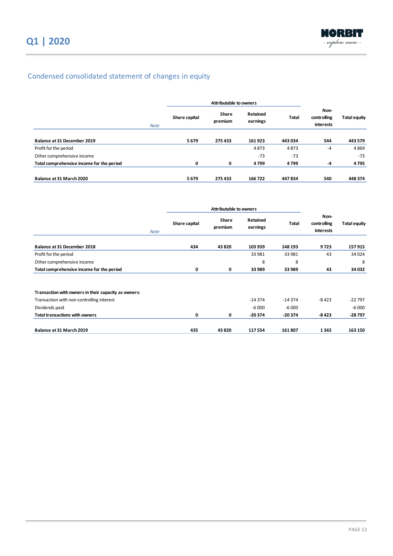# Condensed consolidated statement of changes in equity

|                                           |             |               | <b>Attributable to owners</b> |                      |         |                                  |                     |
|-------------------------------------------|-------------|---------------|-------------------------------|----------------------|---------|----------------------------------|---------------------|
|                                           | <b>Note</b> | Share capital | Share<br>premium              | Retained<br>earnings | Total   | Non-<br>controlling<br>interests | <b>Total equity</b> |
| Balance at 31 December 2019               |             | 5679          | 275433                        | 161923               | 443 034 | 544                              | 443 579             |
| Profit for the period                     |             |               |                               | 4873                 | 4873    | $-4$                             | 4869                |
| Other comprehensive income                |             |               |                               | $-73$                | $-73$   |                                  | $-73$               |
| Total comprehensive income for the period |             | 0             | 0                             | 4799                 | 4799    | $-4$                             | 4795                |
| Balance at 31 March 2020                  |             | 5679          | 275433                        | 166722               | 447834  | 540                              | 448 374             |

|                                                      |               | <b>Attributable to owners</b> |                             |          |                                  |                     |
|------------------------------------------------------|---------------|-------------------------------|-----------------------------|----------|----------------------------------|---------------------|
| <b>Note</b>                                          | Share capital | Share<br>premium              | <b>Retained</b><br>earnings | Total    | Non-<br>controlling<br>interests | <b>Total equity</b> |
| Balance at 31 December 2018                          | 434           | 43820                         | 103 939                     | 148 193  | 9723                             | 157 915             |
| Profit for the period                                |               |                               | 33 981                      | 33 981   | 43                               | 34 0 24             |
| Other comprehensive income                           |               |                               | 8                           | 8        |                                  | 8                   |
| Total comprehensive income for the period            | 0             | 0                             | 33 989                      | 33 989   | 43                               | 34 032              |
|                                                      |               |                               |                             |          |                                  |                     |
| Transaction with owners in their capacity as owners: |               |                               |                             |          |                                  |                     |
| Transaction with non-controlling interest            |               |                               | $-14374$                    | $-14374$ | $-8423$                          | $-22797$            |
| Dividends paid                                       |               |                               | $-6000$                     | $-6000$  |                                  | $-6000$             |
| <b>Total transactions with owners</b>                | 0             | 0                             | $-20374$                    | $-20374$ | -8423                            | -28 797             |
| Balance at 31 March 2019                             | 435           | 43820                         | 117554                      | 161807   | 1342                             | 163 150             |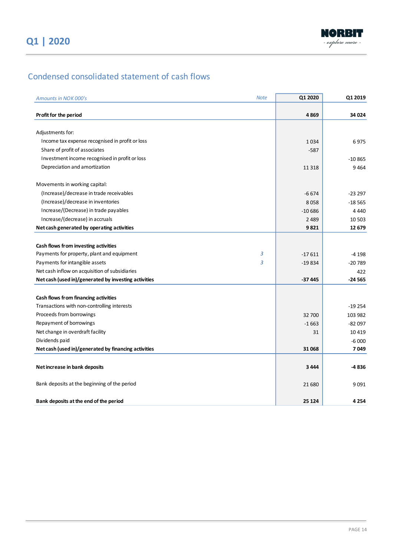# Condensed consolidated statement of cash flows

| <b>Amounts in NOK 000's</b>                          | <b>Note</b> | Q1 2020  | Q1 2019  |
|------------------------------------------------------|-------------|----------|----------|
|                                                      |             |          |          |
| Profit for the period                                |             | 4869     | 34 0 24  |
|                                                      |             |          |          |
| Adjustments for:                                     |             |          |          |
| Income tax expense recognised in profit or loss      |             | 1034     | 6975     |
| Share of profit of associates                        |             | $-587$   |          |
| Investment income recognised in profit or loss       |             |          | $-10865$ |
| Depreciation and amortization                        |             | 11 3 18  | 9464     |
| Movements in working capital:                        |             |          |          |
| (Increase)/decrease in trade receivables             |             | $-6674$  | $-23297$ |
| (Increase)/decrease in inventories                   |             | 8058     | $-18565$ |
| Increase/(Decrease) in trade payables                |             | $-10686$ | 4 4 4 0  |
| Increase/(decrease) in accruals                      |             | 2 4 8 9  | 10 503   |
| Net cash generated by operating activities           |             | 9821     | 12 679   |
|                                                      |             |          |          |
| Cash flows from investing activities                 |             |          |          |
| Payments for property, plant and equipment           | 3           | $-17611$ | $-4198$  |
| Payments for intangible assets                       | 3           | $-19834$ | $-20789$ |
| Net cash inflow on acquisition of subsidiaries       |             |          | 422      |
| Net cash (used in)/generated by investing activities |             | $-37445$ | $-24565$ |
| Cash flows from financing activities                 |             |          |          |
| Transactions with non-controlling interests          |             |          | $-19254$ |
| Proceeds from borrowings                             |             | 32 700   | 103 982  |
| Repayment of borrowings                              |             | $-1663$  | $-82097$ |
| Net change in overdraft facility                     |             | 31       | 10 4 19  |
| Dividends paid                                       |             |          | $-6000$  |
| Net cash (used in)/generated by financing activities |             | 31 068   | 7049     |
|                                                      |             |          |          |
| Net increase in bank deposits                        |             | 3444     | $-4836$  |
| Bank deposits at the beginning of the period         |             | 21 680   | 9091     |
| Bank deposits at the end of the period               |             | 25 1 24  | 4 2 5 4  |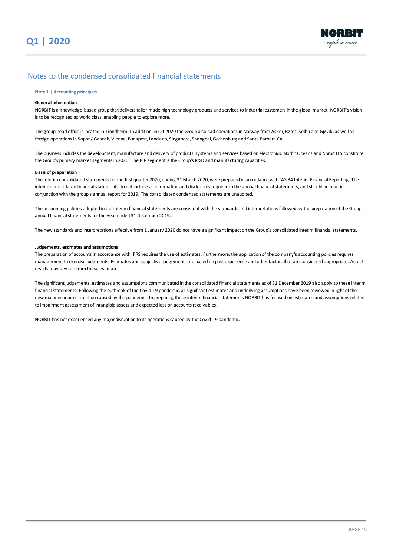

## Notes to the condensed consolidated financial statements

#### **Note 1 | Accounting principles**

#### **General information**

NORBIT is a knowledge-based group that delivers tailor-made high technology products and services to industrial customers in the global market. NORBIT's vision is to be recognized as world class, enabling people to explore more.

The group head office is located in Trondheim. In addition, in Q1 2020 the Group also had operations in Norway from Asker, Røros, Selbu and Gjøvik, as well as foreign operations in Sopot / Gdansk, Vienna, Budapest, Lanciano, Singapore, Shanghai, Gothenburg and Santa Barbara CA.

The business includes the development, manufacture and delivery of products, systems and services based on electronics. Norbit Oceans and Norbit ITS constitute the Group's primary market segments in 2020. The PIR segment is the Group's R&D and manufacturing capacities.

#### **Basis of preparation**

The interim consolidated statements forthe first quarter 2020, ending 31 March 2020, were prepared in accordance with IAS 34 Interim Financial Reporting. The interim consolidated financial statements do not include all information and disclosures required in the annual financial statements, and should be read in conjunction with the group's annual report for 2019. The consolidated condensed statements are unaudited.

The accounting policies adopted in the interim financial statements are consistent with the standards and interpretations followed by the preparation of the Group's annual financial statements for the year ended 31 December 2019.

The new standards and interpretations effective from 1 January 2020 do not have a significant impact on the Group's consolidated interim financialstatements.

#### **Judgements, estimates and assumptions**

The preparation of accounts in accordance with IFRS requires the use of estimates. Furthermore,the application of the company's accounting policies requires managementto exercise judgments. Estimates and subjective judgements are based on past experience and otherfactors that are considered appropriate. Actual results may deviate from these estimates.

The significant judgements, estimates and assumptions communicated in the consolidated financial statements as of 31 December 2019 also apply to these interim financial statements. Following the outbreak of the Covid-19 pandemic, all significant estimates and underlying assumptions have been reviewed in light of the new macroeconomic situation caused by the pandemic. In preparing these interim financialstatements NORBIT has focused on estimates and assumptions related to impairment assessment of intangible assets and expected loss on accounts receivables.

NORBIT has not experienced any major disruption to its operations caused by the Covid-19 pandemic.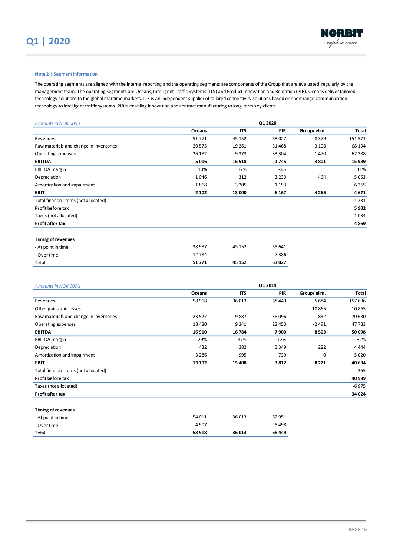#### **Note 2 | Segmentinformation**

The operating segments are aligned with the internal reporting and the operating segments are components of the Group that are evaluated regularly by the managementteam. The operating segments are Oceans, Intelligent Traffic Systems (ITS) and ProductInnovation and Relization (PIR). Oceans delivertailored technology solutions to the global maritime markets. ITS is an independent supplier of tailored connectivity solutions based on short range communication technology to intelligent traffic systems. PIR is enabling innovation and contract manufacturing to long-term key clients.

| Amounts in NOK 000's                    | Q1 2020 |            |         |             |         |
|-----------------------------------------|---------|------------|---------|-------------|---------|
|                                         | Oceans  | <b>ITS</b> | PIR     | Group/elim. | Total   |
| Revenues                                | 51771   | 45 152     | 63 0 27 | $-8379$     | 151571  |
| Raw materials and change in inventories | 20573   | 19 2 61    | 31 4 68 | $-3108$     | 68 194  |
| Operating expenses                      | 26 182  | 9373       | 33 304  | $-1470$     | 67388   |
| <b>EBITDA</b>                           | 5016    | 16518      | $-1745$ | $-3801$     | 15 989  |
| <b>EBITDA</b> margin                    | 10%     | 37%        | -3%     |             | 11%     |
| Depreciation                            | 1046    | 312        | 3 2 3 0 | 464         | 5053    |
| Amortization and impairment             | 1868    | 3 2 0 5    | 1 1 9 3 |             | 6265    |
| <b>EBIT</b>                             | 2 1 0 2 | 13 000     | $-6167$ | -4 265      | 4671    |
| Total financial items (not allocated)   |         |            |         |             | 1231    |
| Profit before tax                       |         |            |         |             | 5902    |
| Taxes (not allocated)                   |         |            |         |             | $-1034$ |
| Profit after tax                        |         |            |         |             | 4869    |
| <b>Timing of revenues</b>               |         |            |         |             |         |
| - At point in time                      | 38 987  | 45 152     | 55 641  |             |         |
| - Over time                             | 12784   |            | 7386    |             |         |

Total **51 771 45 152 63 027**

| Amounts in NOK 000's                    | Q1 2019  |            |         |             |         |
|-----------------------------------------|----------|------------|---------|-------------|---------|
|                                         | Oceans   | <b>ITS</b> | PIR     | Group/elim. | Total   |
| Revenues                                | 58 918   | 36013      | 68 4 49 | $-5684$     | 157 696 |
| Other gains and losses                  |          |            |         | 10865       | 10865   |
| Raw materials and change in inventories | 23 5 27  | 9887       | 38096   | -832        | 70 680  |
| Operating expenses                      | 18 4 8 0 | 9341       | 22 453  | $-2491$     | 47783   |
| <b>EBITDA</b>                           | 16 910   | 16784      | 7900    | 8503        | 50098   |
| <b>EBITDA</b> margin                    | 29%      | 47%        | 12%     |             | 32%     |
| Depreciation                            | 432      | 382        | 3 3 4 9 | 282         | 4444    |
| Amortization and impairment             | 3 2 8 6  | 995        | 739     | 0           | 5020    |
| <b>EBIT</b>                             | 13 192   | 15408      | 3812    | 8221        | 40 634  |
| Total financial items (not allocated)   |          |            |         |             | 365     |
| Profit before tax                       |          |            |         |             | 40 999  |
| Taxes (not allocated)                   |          |            |         |             | $-6975$ |
| Profit after tax                        |          |            |         |             | 34024   |
| <b>Timing of revenues</b>               |          |            |         |             |         |
| - At point in time                      | 54 011   | 36013      | 62 951  |             |         |
| - Over time                             | 4907     |            | 5498    |             |         |
| Total                                   | 58 918   | 36013      | 68 449  |             |         |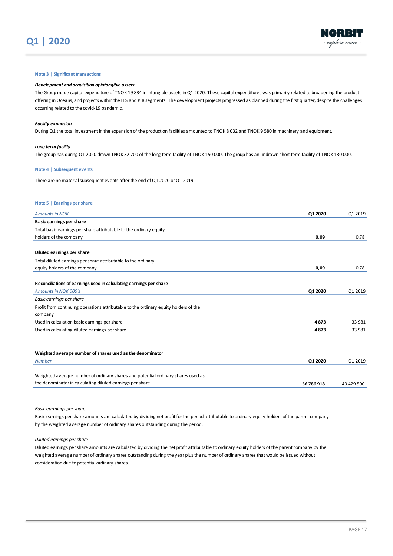

#### **Note 3** | **Significant transactions**

#### *Development and acquisition of intangible assets*

The Group made capital expenditure of TNOK 19 834 in intangible assets in Q1 2020. These capital expenditures was primarily related to broadening the product offering in Oceans, and projects within the ITS and PIR segments. The development projects progressed as planned during the first quarter, despite the challenges occurring related to the covid-19 pandemic.

#### *Facility expansion*

During Q1 the total investment in the expansion of the production facilities amounted to TNOK 8 032 and TNOK 9 580 in machinery and equipment.

#### *Long term facility*

The group has during Q1 2020 drawn TNOK 32 700 of the long term facility of TNOK 150 000. The group has an undrawn short term facility of TNOK 130 000.

#### **Note 4 | Subsequent events**

There are no material subsequent events after the end of Q1 2020 or Q1 2019.

#### **Note 5 | Earnings per share**

| <b>Amounts in NOK</b>                                                                | Q1 2020    | Q1 2019    |
|--------------------------------------------------------------------------------------|------------|------------|
| Basic earnings per share                                                             |            |            |
| Total basic earnings per share attributable to the ordinary equity                   |            |            |
| holders of the company                                                               | 0,09       | 0.78       |
|                                                                                      |            |            |
| Diluted earnings per share                                                           |            |            |
| Total diluted earnings per share attributable to the ordinary                        |            |            |
| equity holders of the company                                                        | 0,09       | 0,78       |
|                                                                                      |            |            |
| Reconciliations of earnings used in calculating earnings per share                   |            |            |
| <b>Amounts in NOK 000's</b>                                                          | Q1 2020    | Q1 2019    |
| Basic earnings per share                                                             |            |            |
| Profit from continuing operations attributable to the ordinary equity holders of the |            |            |
| company:                                                                             |            |            |
| Used in calculation basic earnings per share                                         | 4873       | 33 981     |
| Used in calculating diluted earnings per share                                       | 4873       | 33981      |
|                                                                                      |            |            |
| Weighted average number of shares used as the denominator                            |            |            |
| <b>Number</b>                                                                        | Q1 2020    | Q1 2019    |
|                                                                                      |            |            |
| Weighted average number of ordinary shares and potential ordinary shares used as     |            |            |
| the denominator in calculating diluted earnings per share                            | 56 786 918 | 43 429 500 |

*Basic earrnings pershare*

Basic earnings per share amounts are calculated by dividing net profit for the period attributable to ordinary equity holders of the parent company by the weighted average number of ordinary shares outstanding during the period.

*Diluted earnings pershare*

Diluted earnings pershare amounts are calculated by dividing the net profit attributable to ordinary equity holders of the parent company by the weighted average number of ordinary shares outstanding during the year plus the number of ordinary shares that would be issued without consideration due to potential ordinary shares.